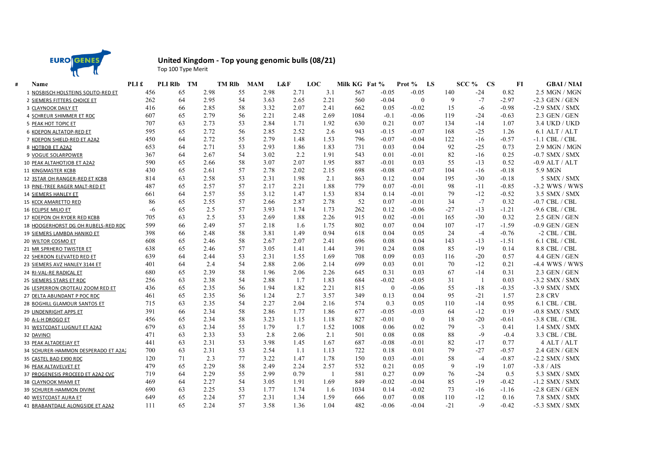

## **United Kingdom - Top young genomic bulls (08/21)**

Top 100 Type Merit

| Name                                | PLI £ | <b>PLI RIb</b> | <b>TM</b> | <b>TM RIb</b> | <b>MAM</b> | L&F  | LOC  | Milk KG Fat % |                  | Prot %<br>LS |       | SCC %<br><b>CS</b> | F1      | <b>GBAI</b> / NIAI |
|-------------------------------------|-------|----------------|-----------|---------------|------------|------|------|---------------|------------------|--------------|-------|--------------------|---------|--------------------|
| 1 NOSBISCH HOLSTEINS SOLITO-RED ET  | 456   | 65             | 2.98      | 55            | 2.98       | 2.71 | 3.1  | 567           | $-0.05$          | $-0.05$      | 140   | $-24$              | 0.82    | 2.5 MGN / MGN      |
| 2 SIEMERS FITTERS CHOICE ET         | 262   | 64             | 2.95      | 54            | 3.63       | 2.65 | 2.21 | 560           | $-0.04$          | $\mathbf{0}$ | 9     | $-7$               | $-2.97$ | $-2.3$ GEN / GEN   |
| 3 CLAYNOOK DAILY ET                 | 416   | 66             | 2.85      | 58            | 3.32       | 2.07 | 2.41 | 662           | 0.05             | $-0.02$      | 15    | -6                 | $-0.98$ | $-2.9$ SMX / SMX   |
| 4 SCHREUR SHIMMER ET RDC            | 607   | 65             | 2.79      | 56            | 2.21       | 2.48 | 2.69 | 1084          | $-0.1$           | $-0.06$      | 119   | $-24$              | $-0.63$ | 2.3 GEN / GEN      |
| 5 PEAK HOT TOPIC ET                 | 707   | 63             | 2.73      | 53            | 2.84       | 1.71 | 1.92 | 630           | 0.21             | 0.07         | 134   | $-14$              | 1.07    | 3.4 UKD / UKD      |
| 6 KOEPON ALTATOP-RED ET             | 595   | 65             | 2.72      | 56            | 2.85       | 2.52 | 2.6  | 943           | $-0.15$          | $-0.07$      | 168   | $-25$              | 1.26    | $6.1$ ALT / ALT    |
| 7 KOEPON SHIELD-RED ET A2A2         | 450   | 64             | 2.72      | 55            | 2.79       | 1.48 | 1.53 | 796           | $-0.07$          | $-0.04$      | 122   | $-16$              | $-0.57$ | $-1.1$ CBL $/$ CBL |
| 8 HOTBOB ET A2A2                    | 653   | 64             | 2.71      | 53            | 2.93       | 1.86 | 1.83 | 731           | 0.03             | 0.04         | 92    | $-25$              | 0.73    | 2.9 MGN / MGN      |
| 9 VOGUE SOLARPOWER                  | 367   | 64             | 2.67      | 54            | 3.02       | 2.2  | 1.91 | 543           | 0.01             | $-0.01$      | 82    | $-16$              | 0.25    | $-0.7$ SMX / SMX   |
| 10 PEAK ALTAHOTJOB ET A2A2          | 590   | 65             | 2.66      | 58            | 3.07       | 2.07 | 1.95 | 887           | $-0.01$          | 0.03         | 55    | $-13$              | 0.52    | $-0.9$ ALT / ALT   |
| 11 KINGMASTER KCBB                  | 430   | 65             | 2.61      | 57            | 2.78       | 2.02 | 2.15 | 698           | $-0.08$          | $-0.07$      | 104   | $-16$              | $-0.18$ | 5.9 MGN            |
| 12 3STAR OH RANGER-RED ET KCBB      | 814   | 63             | 2.58      | 53            | 2.31       | 1.98 | 2.1  | 863           | 0.12             | 0.04         | 195   | $-30$              | $-0.18$ | 5 SMX / SMX        |
| 13 PINE-TREE RAGER MALT-RED ET      | 487   | 65             | 2.57      | 57            | 2.17       | 2.21 | 1.88 | 779           | 0.07             | $-0.01$      | 98    | $-11$              | $-0.85$ | $-3.2$ WWS / WWS   |
| 14 SIEMERS HANLEY ET                | 661   | 64             | 2.57      | 55            | 3.12       | 1.47 | 1.53 | 834           | 0.14             | $-0.01$      | 79    | $-12$              | $-0.52$ | 3.5 SMX / SMX      |
| 15 KCCK AMARETTO RED                | 86    | 65             | 2.55      | 57            | 2.66       | 2.87 | 2.78 | 52            | 0.07             | $-0.01$      | 34    | $-7$               | 0.32    | $-0.7$ CBL $/$ CBL |
| 16 ECLIPSE MILIO ET                 | $-6$  | 65             | 2.5       | 57            | 3.93       | 1.74 | 1.73 | 262           | 0.12             | $-0.06$      | $-27$ | $-13$              | $-1.21$ | $-9.6$ CBL $/$ CBL |
| 17 KOEPON OH RYDER RED KCBB         | 705   | 63             | 2.5       | 53            | 2.69       | 1.88 | 2.26 | 915           | 0.02             | $-0.01$      | 165   | $-30$              | 0.32    | 2.5 GEN / GEN      |
| 18 HOOGERHORST DG OH RUBELS-RED RDC | 599   | 66             | 2.49      | 57            | 2.18       | 1.6  | 1.75 | 802           | 0.07             | 0.04         | 107   | $-17$              | $-1.59$ | $-0.9$ GEN / GEN   |
| 19 SIEMERS LAMBDA HANIKO ET         | 398   | 66             | 2.48      | 58            | 3.81       | 1.49 | 0.94 | 618           | 0.04             | 0.05         | 24    | $-4$               | $-0.76$ | $-2$ CBL $/$ CBL   |
| 20 WILTOR COSMO ET                  | 608   | 65             | 2.46      | 58            | 2.67       | 2.07 | 2.41 | 696           | 0.08             | 0.04         | 143   | $-13$              | $-1.51$ | $6.1$ CBL $/$ CBL  |
| 21 MR SPRHERO TWISTER ET            | 638   | 65             | 2.46      | 57            | 3.05       | 1.41 | 1.44 | 391           | 0.24             | 0.08         | 85    | $-19$              | 0.14    | 8.8 CBL / CBL      |
| 22 SHERDON ELEVATED RED ET          | 639   | 64             | 2.44      | 53            | 2.31       | 1.55 | 1.69 | 708           | 0.09             | 0.03         | 116   | $-20$              | 0.57    | 4.4 GEN / GEN      |
| 23 SIEMERS AVZ HANLEY 3144 ET       | 401   | 64             | 2.4       | 54            | 2.88       | 2.06 | 2.14 | 699           | 0.03             | 0.01         | 70    | $-12$              | 0.21    | $-4.4$ WWS / WWS   |
| 24 RI-VAL-RE RADICAL ET             | 680   | 65             | 2.39      | 58            | 1.96       | 2.06 | 2.26 | 645           | 0.31             | 0.03         | 67    | $-14$              | 0.31    | $2.3$ GEN / GEN    |
| 25 SIEMERS STARS ET RDC             | 256   | 63             | 2.38      | 54            | 2.88       | 1.7  | 1.83 | 684           | $-0.02$          | $-0.05$      | 31    | -1                 | 0.03    | $-3.2$ SMX / SMX   |
| 26 LESPERRON CROTEAU ZOOM RED ET    | 436   | 65             | 2.35      | 56            | 1.94       | 1.82 | 2.21 | 815           | $\boldsymbol{0}$ | $-0.06$      | 55    | $-18$              | $-0.35$ | -3.9 SMX / SMX     |
| 27 DELTA ABUNDANT P POC RDC         | 461   | 65             | 2.35      | 56            | 1.24       | 2.7  | 3.57 | 349           | 0.13             | 0.04         | 95    | $-21$              | 1.57    | <b>2.8 CRV</b>     |
| 28 BOGHILL GLAMOUR SANTOS ET        | 715   | 63             | 2.35      | 54            | 2.27       | 2.04 | 2.16 | 574           | 0.3              | 0.05         | 110   | $-14$              | 0.95    | $6.1$ CBL $/$ CBL  |
| 29 LINDENRIGHT APPS ET              | 391   | 66             | 2.34      | 58            | 2.86       | 1.77 | 1.86 | 677           | $-0.05$          | $-0.03$      | 64    | $-12$              | 0.19    | $-0.8$ SMX / SMX   |
| 30 A-L-H DROGO ET                   | 456   | 65             | 2.34      | 58            | 3.23       | 1.15 | 1.18 | 827           | $-0.01$          | $\theta$     | 18    | $-20$              | $-0.61$ | $-3.8$ CBL $/$ CBL |
| 31 WESTCOAST LUGNUT ET A2A2         | 679   | 63             | 2.34      | 55            | 1.79       | 1.7  | 1.52 | 1008          | 0.06             | 0.02         | 79    | $-3$               | 0.41    | $1.4$ SMX / SMX    |
| 32 DAVINCI                          | 471   | 63             | 2.33      | 53            | 2.8        | 2.06 | 2.1  | 501           | 0.08             | 0.08         | 88    | $-9$               | $-0.4$  | 3.3 CBL / CBL      |
| 33 PEAK ALTADEEJAY ET               | 441   | 63             | 2.31      | 53            | 3.98       | 1.45 | 1.67 | 687           | $-0.08$          | $-0.01$      | 82    | $-17$              | 0.77    | 4 ALT / ALT        |
| 34 SCHURER-HAMMON DESPERADO ET A2A2 | 700   | 63             | 2.31      | 53            | 2.54       | 1.1  | 1.13 | 722           | 0.18             | 0.01         | 79    | $-27$              | $-0.57$ | $2.4$ GEN / GEN    |
| 35 CASTEL BAD EX90 RDC              | 120   | 71             | 2.3       | 77            | 3.22       | 1.47 | 1.78 | 150           | 0.03             | $-0.01$      | 58    | $-4$               | $-0.87$ | $-2.2$ SMX / SMX   |
| 36 PEAK ALTAVELVET ET               | 479   | 65             | 2.29      | 58            | 2.49       | 2.24 | 2.57 | 532           | 0.21             | 0.05         | 9     | $-19$              | 1.07    | $-3.8 / AIS$       |
| 37 PROGENESIS PROCEED ET A2A2 CVC   | 719   | 64             | 2.29      | 55            | 2.99       | 0.79 | - 1  | 581           | 0.27             | 0.09         | 76    | $-24$              | 0.5     | 5.3 SMX / SMX      |
| 38 CLAYNOOK MIAMI ET                | 469   | 64             | 2.27      | 54            | 3.05       | 1.91 | 1.69 | 849           | $-0.02$          | $-0.04$      | 85    | $-19$              | $-0.42$ | -1.2 SMX / SMX     |
| 39 SCHURER-HAMMON DIVINE            | 690   | 63             | 2.25      | 53            | 1.77       | 1.74 | 1.6  | 1034          | 0.14             | $-0.02$      | 73    | $-16$              | $-1.16$ | $-2.8$ GEN / GEN   |
| 40 WESTCOAST AURA ET                | 649   | 65             | 2.24      | 57            | 2.31       | 1.34 | 1.59 | 666           | 0.07             | 0.08         | 110   | $-12$              | 0.16    | 7.8 SMX / SMX      |
| 41 BRABANTDALE ALONGSIDE ET A2A2    | 111   | 65             | 2.24      | 57            | 3.58       | 1.36 | 1.04 | 482           | $-0.06$          | $-0.04$      | $-21$ | $-9$               | $-0.42$ | $-5.3$ SMX / SMX   |
|                                     |       |                |           |               |            |      |      |               |                  |              |       |                    |         |                    |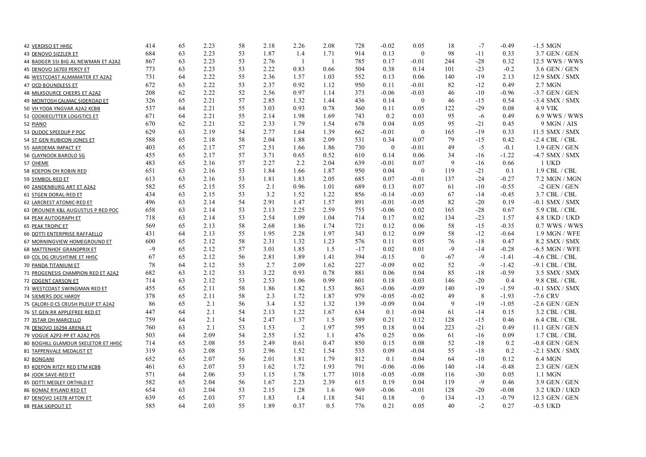| 42 VERDISO ET HH5C                  | 414  | 65 | 2.23 | 58 | 2.18 | 2.26           | 2.08           | 728   | $-0.02$      | 0.05         | 18    | $-7$  | $-0.49$ | $-1.5$ MGN         |
|-------------------------------------|------|----|------|----|------|----------------|----------------|-------|--------------|--------------|-------|-------|---------|--------------------|
| 43 DENOVO SIZZLER ET                | 684  | 63 | 2.23 | 53 | 1.87 | 1.4            | 1.71           | 914   | 0.13         | $\theta$     | 98    | $-11$ | 0.33    | 3.7 GEN / GEN      |
| 44 BADGER SSI BIG AL NEWMAN ET A2A2 | 867  | 63 | 2.23 | 53 | 2.76 | $\overline{1}$ | $\overline{1}$ | 785   | 0.17         | $-0.01$      | 244   | $-28$ | 0.32    | 12.5 WWS / WWS     |
| 45 DENOVO 16703 PERCY ET            | 773  | 63 | 2.23 | 53 | 2.22 | 0.83           | 0.66           | 504   | 0.38         | 0.14         | 101   | $-23$ | $-0.2$  | 3.6 GEN / GEN      |
| 46 WESTCOAST ALMAMATER ET A2A2      | 731  | 64 | 2.22 | 55 | 2.36 | 1.57           | 1.03           | 552   | 0.13         | 0.06         | 140   | $-19$ | 2.13    | 12.9 SMX / SMX     |
| 47 OCD BOUNDLESS ET                 | 672  | 63 | 2.22 | 53 | 2.37 | 0.92           | 1.12           | 950   | 0.11         | $-0.01$      | 82    | $-12$ | 0.49    | 2.7 MGN            |
| 48 MILKSOURCE CHEERS ET A2A2        | 208  | 62 | 2.22 | 52 | 2.56 | 0.97           | 1.14           | 373   | $-0.06$      | $-0.03$      | 46    | $-10$ | -0.96   | $-3.7$ GEN / GEN   |
| 49 MCINTOSH CALMAC SIDEROAD ET      | 326  | 65 | 2.21 | 57 | 2.85 | 1.32           | 1.44           | 436   | 0.14         | $\mathbf{0}$ | 46    | $-15$ | 0.54    | $-3.4$ SMX / SMX   |
| 50 VH YODA YNGVAR A2A2 KCBB         | 537  | 64 | 2.21 | 55 | 3.03 | 0.93           | 0.78           | 360   | 0.11         | 0.05         | 122   | $-29$ | 0.08    | 4.9 VIK            |
| 51 COOKIECUTTER LOGISTICS ET        | 671  | 64 | 2.21 | 55 | 2.14 | 1.98           | 1.69           | 743   | 0.2          | 0.03         | 95    | $-6$  | 0.49    | 6.9 WWS / WWS      |
| 52 PIANO                            | 670  | 62 | 2.21 | 52 | 2.33 | 1.79           | 1.54           | 678   | 0.04         | 0.05         | 95    | $-21$ | 0.45    | $9$ MGN / AIS      |
| 53 DUDOC SPEEDUP P POC              | 629  | 63 | 2.19 | 54 | 2.77 | 1.64           | 1.39           | 662   | $-0.01$      | $\theta$     | 165   | $-19$ | 0.33    | 11.5 SMX / SMX     |
| 54 ST GEN RUBICON JONES ET          | 588  | 65 | 2.18 | 58 | 2.04 | 1.88           | 2.09           | 531   | 0.34         | 0.07         | 79    | $-15$ | 0.42    | $-2.4$ CBL $/$ CBL |
| 55 AARDEMA IMPACT ET                | 403  | 65 | 2.17 | 57 | 2.51 | 1.66           | 1.86           | 730   | $\mathbf{0}$ | $-0.01$      | 49    | $-5$  | $-0.1$  | $1.9$ GEN / GEN    |
| 56 CLAYNOOK BAROLO SG               | 455  | 65 | 2.17 | 57 | 3.71 | 0.65           | 0.52           | 610   | 0.14         | 0.06         | 34    | $-16$ | $-1.22$ | -4.7 SMX / SMX     |
| 57 OHEME                            | 483  | 65 | 2.16 | 57 | 2.27 | 2.2            | 2.04           | 639   | $-0.01$      | 0.07         | 9     | $-16$ | 0.66    | 1 UKD              |
| 58 KOEPON OH ROBIN RED              | 651  | 63 | 2.16 | 53 | 1.84 | 1.66           | 1.87           | 950   | 0.04         | $\mathbf{0}$ | 119   | $-21$ | 0.1     | 1.9 CBL / CBL      |
| 59 SYMBOL-RED ET                    | 613  | 63 | 2.16 | 53 | 1.81 | 1.83           | 2.05           | 685   | 0.07         | $-0.01$      | 137   | $-24$ | $-0.27$ | 7.2 MGN / MGN      |
| 60 ZANDENBURG ART ET A2A2           | 582  | 65 | 2.15 | 55 | 2.1  | 0.96           | 1.01           | 689   | 0.13         | 0.07         | 61    | $-10$ | $-0.55$ | $-2$ GEN / GEN     |
| 61 STGEN DORAL-RED ET               | 434  | 63 | 2.15 | 53 | 3.2  | 1.52           | 1.22           | 856   | $-0.14$      | $-0.03$      | 67    | $-14$ | $-0.45$ | 3.7 CBL / CBL      |
| 62 LARCREST ATOMIC-RED ET           | 496  | 63 | 2.14 | 54 | 2.91 | 1.47           | 1.57           | 891   | $-0.01$      | $-0.05$      | 82    | $-20$ | 0.19    | $-0.1$ SMX / SMX   |
| 63 DROUNER K&L AUGUSTUS P RED POC   | 658  | 63 | 2.14 | 53 | 2.13 | 2.25           | 2.59           | 755   | $-0.06$      | 0.02         | 165   | $-28$ | 0.67    | 5.9 CBL / CBL      |
| 64 PEAK AUTOGRAPH ET                | 718  | 63 | 2.14 | 53 | 2.54 | 1.09           | 1.04           | 714   | 0.17         | 0.02         | 134   | $-23$ | 1.57    | 4.8 UKD / UKD      |
| <b>65 PEAK TROPIC ET</b>            | 569  | 65 | 2.13 | 58 | 2.68 | 1.86           | 1.74           | 721   | 0.12         | 0.06         | 58    | $-15$ | $-0.35$ | 0.7 WWS / WWS      |
| 66 DOTTI ENTERPRISE RAFFAELLO       | 431  | 64 | 2.13 | 55 | 1.95 | 2.28           | 1.97           | 343   | 0.12         | 0.09         | 58    | $-12$ | $-0.64$ | 1.9 MGN / WFE      |
| 67 MORNINGVIEW HOMEGROUND ET        | 600  | 65 | 2.12 | 58 | 2.31 | 1.32           | 1.23           | 576   | 0.11         | 0.05         | 76    | $-18$ | 0.47    | 8.2 SMX / SMX      |
| 68 MATTENHOF GRANDPRIX ET           | $-9$ | 65 | 2.12 | 57 | 3.01 | 1.85           | 1.5            | $-17$ | 0.02         | 0.01         | $-9$  | $-14$ | $-0.28$ | $-6.5$ MGN / WFE   |
| 69 COL DG CRUSHTIME ET HH5C         | 67   | 65 | 2.12 | 56 | 2.81 | 1.89           | 1.41           | 394   | $-0.15$      | $\Omega$     | $-67$ | $-9$  | -1.41   | $-4.6$ CBL $/$ CBL |
| 70 PANDA TITANIUM ET                | 78   | 64 | 2.12 | 55 | 2.7  | 2.09           | 1.62           | 227   | $-0.09$      | 0.02         | 52    | $-9$  | $-1.42$ | -9.1 CBL / CBL     |
| 71 PROGENESIS CHAMPION RED ET A2A2  | 682  | 63 | 2.12 | 53 | 3.22 | 0.93           | 0.78           | 881   | 0.06         | 0.04         | 85    | $-18$ | -0.59   | 3.5 SMX / SMX      |
| 72 COGENT CARSON ET                 | 714  | 63 | 2.12 | 53 | 2.53 | 1.06           | 0.99           | 601   | 0.18         | 0.03         | 146   | $-20$ | 0.4     | 9.8 CBL / CBL      |
| 73 WESTCOAST SWINGMAN RED ET        | 455  | 65 | 2.11 | 58 | 1.86 | 1.82           | 1.53           | 863   | $-0.06$      | $-0.09$      | 140   | $-19$ | $-1.59$ | $-0.1$ SMX / SMX   |
| 74 SIEMERS DOC HARDY                | 378  | 65 | 2.11 | 58 | 2.3  | 1.72           | 1.87           | 979   | $-0.05$      | $-0.02$      | 49    | 8     | $-1.93$ | $-7.6$ CRV         |
| 75 CALORI-D CS CRUSH PILEUP ET A2A2 | 86   | 65 | 2.1  | 56 | 3.4  | 1.52           | 1.32           | 139   | $-0.09$      | 0.04         | 9     | $-19$ | $-1.05$ | $-2.6$ GEN / GEN   |
| 76 ST GEN RR APPLEFREE RED ET       | 447  | 64 | 2.1  | 54 | 2.13 | 1.22           | 1.67           | 634   | 0.1          | $-0.04$      | 61    | $-14$ | 0.15    | 3.2 CBL / CBL      |
| 77 3STAR OH MARCELLO                | 759  | 64 | 2.1  | 54 | 2.47 | 1.37           | 1.5            | 589   | 0.21         | 0.12         | 128   | $-15$ | 0.46    | $6.4$ CBL $/$ CBL  |
| 78 DENOVO 16294 ARENA ET            | 760  | 63 | 2.1  | 53 | 1.53 | $\overline{2}$ | 1.97           | 595   | 0.18         | 0.04         | 223   | $-21$ | 0.49    | 11.1 GEN / GEN     |
| 79 VOGUE A2P2-PP ET A2A2 POS        | 503  | 64 | 2.09 | 54 | 2.55 | 1.52           | 1.1            | 476   | 0.25         | 0.06         | 61    | $-16$ | 0.09    | $1.7$ CBL $/$ CBL  |
| 80 BOGHILL GLAMOUR SKELETOR ET HH5C | 714  | 65 | 2.08 | 55 | 2.49 | 0.61           | 0.47           | 850   | 0.15         | 0.08         | 52    | $-18$ | 0.2     | $-0.8$ GEN / GEN   |
| 81 TAPPENVALE MEDALIST ET           | 319  | 63 | 2.08 | 53 | 2.96 | 1.52           | 1.54           | 535   | 0.09         | $-0.04$      | 55    | $-18$ | 0.2     | $-2.1$ SMX / SMX   |
| 82 BONGANI                          | 652  | 65 | 2.07 | 56 | 2.01 | 1.81           | 1.79           | 812   | 0.1          | 0.04         | 64    | $-10$ | 0.12    | 6.4 MGN            |
| 83 KOEPON RITZY RED ETM KCBB        | 461  | 63 | 2.07 | 53 | 1.62 | 1.72           | 1.93           | 791   | $-0.06$      | $-0.06$      | 140   | $-14$ | $-0.48$ | 2.3 GEN / GEN      |
| 84 JOOK SAVE-RED ET                 | 571  | 64 | 2.06 | 53 | 1.15 | 1.78           | 1.77           | 1018  | $-0.05$      | $-0.08$      | 116   | $-30$ | 0.05    | 1.1 MGN            |
| 85 DOTTI MEDLEY ORTHILD ET          | 582  | 65 | 2.04 | 56 | 1.67 | 2.23           | 2.39           | 615   | 0.19         | 0.04         | 119   | $-9$  | 0.46    | 3.9 GEN / GEN      |
| 86 BOMAZ RYLAND RED ET              | 654  | 63 | 2.04 | 53 | 2.15 | 1.28           | 1.6            | 969   | $-0.06$      | $-0.01$      | 128   | $-20$ | $-0.08$ | 3.2 UKD / UKD      |
| 87 DENOVO 14378 AFTON ET            | 639  | 65 | 2.03 | 57 | 1.83 | 1.4            | 1.18           | 541   | 0.18         | $\theta$     | 134   | $-13$ | $-0.79$ | 12.3 GEN / GEN     |
| 88 PEAK SKIPOUT ET                  | 585  | 64 | 2.03 | 55 | 1.89 | 0.37           | 0.5            | 776   | 0.21         | 0.05         | 40    | $-2$  | 0.27    | $-0.5$ UKD         |